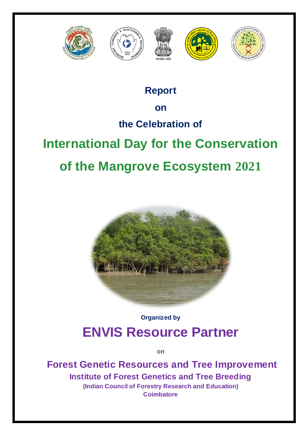









## **Report**

## **on**

**the Celebration of**

# **International Day for the Conservation of the Mangrove Ecosystem 2021**



**Organized by ENVIS Resource Partner** 

**on**

**Forest Genetic Resources and Tree Improvement Institute of Forest Genetics and Tree Breeding (Indian Council of Forestry Research and Education) Coimbatore**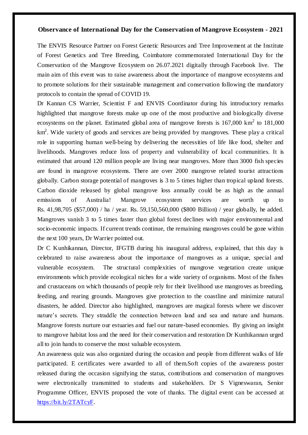#### **Observance of International Day for the Conservation of Mangrove Ecosystem - 2021**

The ENVIS Resource Partner on Forest Genetic Resources and Tree Improvement at the Institute of Forest Genetics and Tree Breeding, Coimbatore commemorated International Day for the Conservation of the Mangrove Ecosystem on 26.07.2021 digitally through Facebook live. The main aim of this event was to raise awareness about the importance of mangrove ecosystems and to promote solutions for their sustainable management and conservation following the mandatory protocols to contain the spread of COVID 19.

Dr Kannan CS Warrier, Scientist F and ENVIS Coordinator during his introductory remarks highlighted that mangrove forests make up one of the most productive and biologically diverse ecosystems on the planet. Estimated global area of mangrove forests is  $167,000 \text{ km}^2$  to  $181,000$ km<sup>2</sup>. Wide variety of goods and services are being provided by mangroves. These play a critical role in supporting human well-being by delivering the necessities of life like food, shelter and livelihoods. Mangroves reduce loss of property and vulnerability of local communities. It is estimated that around 120 million people are living near mangroves. More than 3000 fish species are found in mangrove ecosystems. There are over 2000 mangrove related tourist attractions globally. Carbon storage potential of mangroves is 3 to 5 times higher than tropical upland forests. Carbon dioxide released by global mangrove loss annually could be as high as the annual emissions of Australia! Mangrove ecosystem services are worth up to Rs. 41,98,705 (\$57,000) / ha / year. Rs. 59,150,560,000 (\$800 Billion) / year globally, he added. Mangroves vanish 3 to 5 times faster than global forest declines with major environmental and socio-economic impacts. If current trends continue, the remaining mangroves could be gone within the next 100 years, Dr Warrier pointed out.

Dr C Kunhikannan, Director, IFGTB during his inaugural address, explained, that this day is celebrated to raise awareness about the importance of mangroves as a unique, special and vulnerable ecosystem. The structural complexities of mangrove vegetation create unique environments which provide ecological niches for a wide variety of organisms. Most of the fishes and crustaceans on which thousands of people rely for their livelihood use mangroves as breeding, feeding, and rearing grounds. Mangroves give protection to the coastline and minimize natural disasters, he added. Director also highlighted, mangroves are magical forests where we discover nature's secrets. They straddle the connection between land and sea and nature and humans. Mangrove forests nurture our estuaries and fuel our nature-based economies. By giving an insight to mangrove habitat loss and the need for their conservation and restoration Dr Kunhikannan urged all to join hands to conserve the most valuable ecosystem.

An awareness quiz was also organized during the occasion and people from different walks of life participated. E certificates were awarded to all of them.Soft copies of the awareness poster released during the occasion signifying the status, contributions and conservation of mangroves were electronically transmitted to students and stakeholders. Dr S Vigneswaran, Senior Programme Officer, ENVIS proposed the vote of thanks. The digital event can be accessed at [https://bit.ly/2TATcyF.](https://bit.ly/2TATcyF)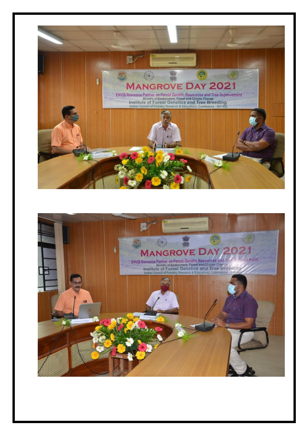

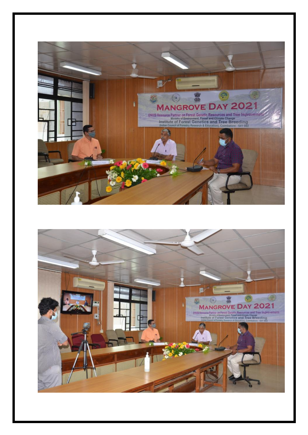

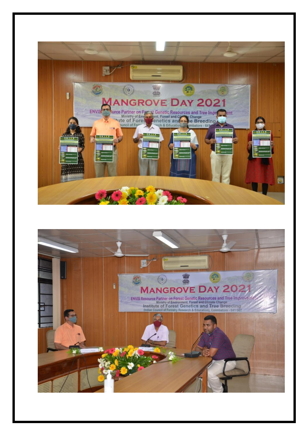